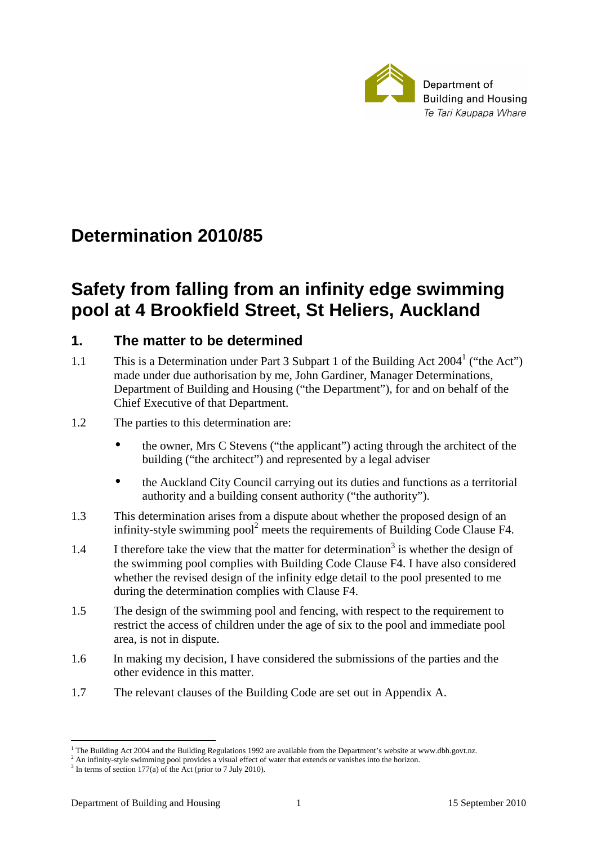

# **Determination 2010/85**

# **Safety from falling from an infinity edge swimming pool at 4 Brookfield Street, St Heliers, Auckland**

## **1. The matter to be determined**

- 1.1 This is a Determination under Part 3 Subpart 1 of the Building Act 2004<sup>1</sup> ("the Act") made under due authorisation by me, John Gardiner, Manager Determinations, Department of Building and Housing ("the Department"), for and on behalf of the Chief Executive of that Department.
- 1.2 The parties to this determination are:
	- the owner, Mrs C Stevens ("the applicant") acting through the architect of the building ("the architect") and represented by a legal adviser
	- the Auckland City Council carrying out its duties and functions as a territorial authority and a building consent authority ("the authority").
- 1.3 This determination arises from a dispute about whether the proposed design of an infinity-style swimming pool<sup>2</sup> meets the requirements of Building Code Clause F4.
- 1.4 I therefore take the view that the matter for determination<sup>3</sup> is whether the design of the swimming pool complies with Building Code Clause F4. I have also considered whether the revised design of the infinity edge detail to the pool presented to me during the determination complies with Clause F4.
- 1.5 The design of the swimming pool and fencing, with respect to the requirement to restrict the access of children under the age of six to the pool and immediate pool area, is not in dispute.
- 1.6 In making my decision, I have considered the submissions of the parties and the other evidence in this matter.
- 1.7 The relevant clauses of the Building Code are set out in Appendix A.

<sup>&</sup>lt;sup>1</sup> The Building Act 2004 and the Building Regulations 1992 are available from the Department's website at www.dbh.govt.nz.

<sup>2</sup> An infinity-style swimming pool provides a visual effect of water that extends or vanishes into the horizon.

<sup>&</sup>lt;sup>3</sup> In terms of section 177(a) of the Act (prior to 7 July 2010).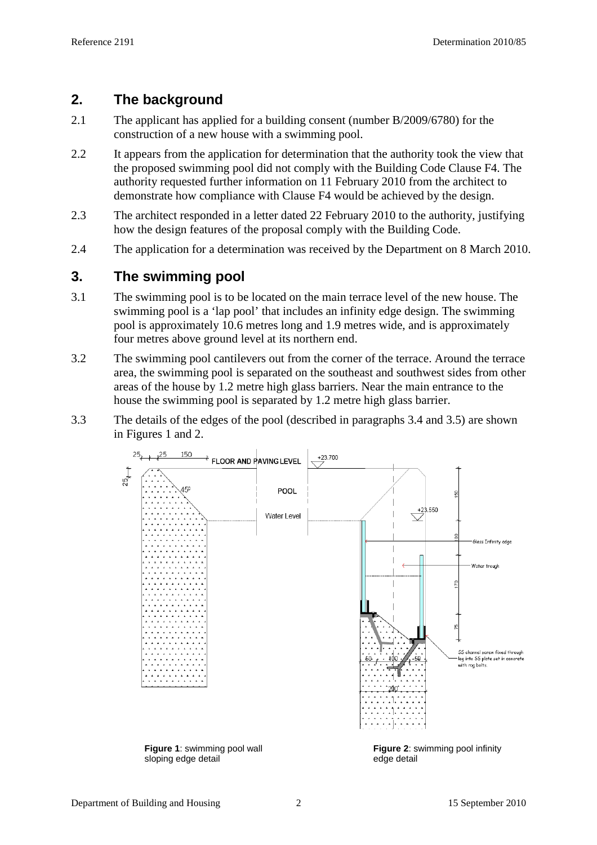## **2. The background**

- 2.1 The applicant has applied for a building consent (number B/2009/6780) for the construction of a new house with a swimming pool.
- 2.2 It appears from the application for determination that the authority took the view that the proposed swimming pool did not comply with the Building Code Clause F4. The authority requested further information on 11 February 2010 from the architect to demonstrate how compliance with Clause F4 would be achieved by the design.
- 2.3 The architect responded in a letter dated 22 February 2010 to the authority, justifying how the design features of the proposal comply with the Building Code.
- 2.4 The application for a determination was received by the Department on 8 March 2010.

# **3. The swimming pool**

- 3.1 The swimming pool is to be located on the main terrace level of the new house. The swimming pool is a 'lap pool' that includes an infinity edge design. The swimming pool is approximately 10.6 metres long and 1.9 metres wide, and is approximately four metres above ground level at its northern end.
- 3.2 The swimming pool cantilevers out from the corner of the terrace. Around the terrace area, the swimming pool is separated on the southeast and southwest sides from other areas of the house by 1.2 metre high glass barriers. Near the main entrance to the house the swimming pool is separated by 1.2 metre high glass barrier.
- 3.3 The details of the edges of the pool (described in paragraphs 3.4 and 3.5) are shown in Figures 1 and 2.



sloping edge detail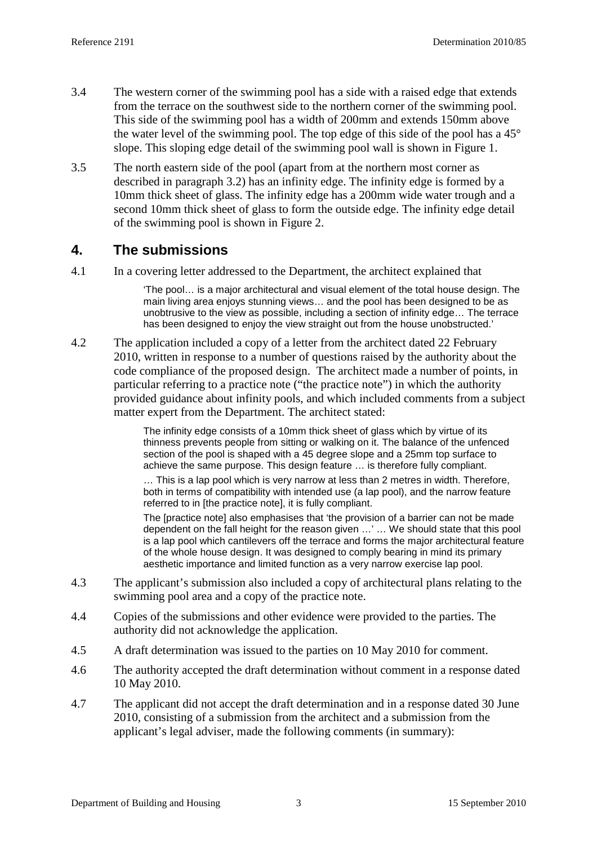- 3.4 The western corner of the swimming pool has a side with a raised edge that extends from the terrace on the southwest side to the northern corner of the swimming pool. This side of the swimming pool has a width of 200mm and extends 150mm above the water level of the swimming pool. The top edge of this side of the pool has a 45° slope. This sloping edge detail of the swimming pool wall is shown in Figure 1.
- 3.5 The north eastern side of the pool (apart from at the northern most corner as described in paragraph 3.2) has an infinity edge. The infinity edge is formed by a 10mm thick sheet of glass. The infinity edge has a 200mm wide water trough and a second 10mm thick sheet of glass to form the outside edge. The infinity edge detail of the swimming pool is shown in Figure 2.

### **4. The submissions**

4.1 In a covering letter addressed to the Department, the architect explained that

'The pool… is a major architectural and visual element of the total house design. The main living area enjoys stunning views… and the pool has been designed to be as unobtrusive to the view as possible, including a section of infinity edge… The terrace has been designed to enjoy the view straight out from the house unobstructed.'

4.2 The application included a copy of a letter from the architect dated 22 February 2010, written in response to a number of questions raised by the authority about the code compliance of the proposed design. The architect made a number of points, in particular referring to a practice note ("the practice note") in which the authority provided guidance about infinity pools, and which included comments from a subject matter expert from the Department. The architect stated:

> The infinity edge consists of a 10mm thick sheet of glass which by virtue of its thinness prevents people from sitting or walking on it. The balance of the unfenced section of the pool is shaped with a 45 degree slope and a 25mm top surface to achieve the same purpose. This design feature … is therefore fully compliant.

> … This is a lap pool which is very narrow at less than 2 metres in width. Therefore, both in terms of compatibility with intended use (a lap pool), and the narrow feature referred to in [the practice note], it is fully compliant.

The [practice note] also emphasises that 'the provision of a barrier can not be made dependent on the fall height for the reason given …' … We should state that this pool is a lap pool which cantilevers off the terrace and forms the major architectural feature of the whole house design. It was designed to comply bearing in mind its primary aesthetic importance and limited function as a very narrow exercise lap pool.

- 4.3 The applicant's submission also included a copy of architectural plans relating to the swimming pool area and a copy of the practice note.
- 4.4 Copies of the submissions and other evidence were provided to the parties. The authority did not acknowledge the application.
- 4.5 A draft determination was issued to the parties on 10 May 2010 for comment.
- 4.6 The authority accepted the draft determination without comment in a response dated 10 May 2010.
- 4.7 The applicant did not accept the draft determination and in a response dated 30 June 2010, consisting of a submission from the architect and a submission from the applicant's legal adviser, made the following comments (in summary):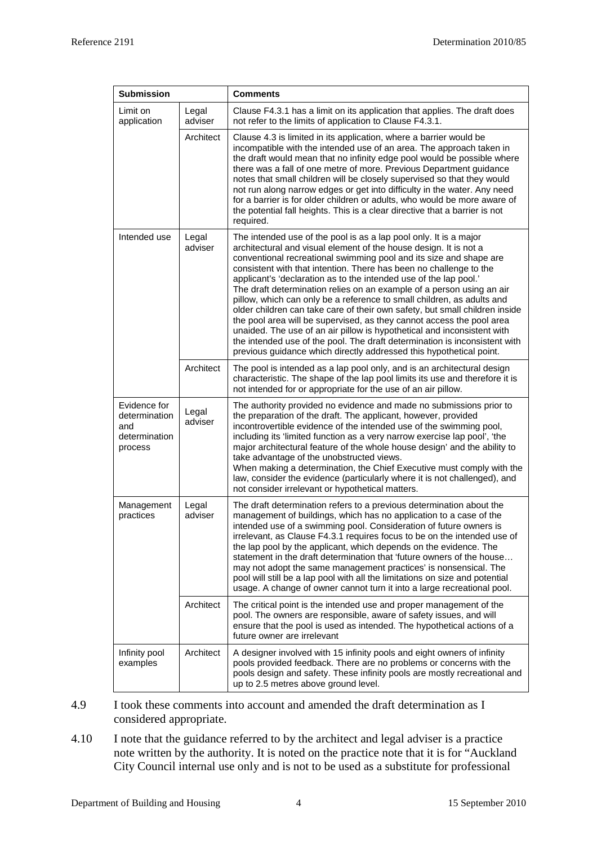| <b>Submission</b>                                                |                  | <b>Comments</b>                                                                                                                                                                                                                                                                                                                                                                                                                                                                                                                                                                                                                                                                                                                                                                                                                                                                                    |  |
|------------------------------------------------------------------|------------------|----------------------------------------------------------------------------------------------------------------------------------------------------------------------------------------------------------------------------------------------------------------------------------------------------------------------------------------------------------------------------------------------------------------------------------------------------------------------------------------------------------------------------------------------------------------------------------------------------------------------------------------------------------------------------------------------------------------------------------------------------------------------------------------------------------------------------------------------------------------------------------------------------|--|
| Limit on<br>Legal<br>application<br>adviser                      |                  | Clause F4.3.1 has a limit on its application that applies. The draft does<br>not refer to the limits of application to Clause F4.3.1.                                                                                                                                                                                                                                                                                                                                                                                                                                                                                                                                                                                                                                                                                                                                                              |  |
|                                                                  | Architect        | Clause 4.3 is limited in its application, where a barrier would be<br>incompatible with the intended use of an area. The approach taken in<br>the draft would mean that no infinity edge pool would be possible where<br>there was a fall of one metre of more. Previous Department guidance<br>notes that small children will be closely supervised so that they would<br>not run along narrow edges or get into difficulty in the water. Any need<br>for a barrier is for older children or adults, who would be more aware of<br>the potential fall heights. This is a clear directive that a barrier is not<br>required.                                                                                                                                                                                                                                                                       |  |
| Intended use                                                     | Legal<br>adviser | The intended use of the pool is as a lap pool only. It is a major<br>architectural and visual element of the house design. It is not a<br>conventional recreational swimming pool and its size and shape are<br>consistent with that intention. There has been no challenge to the<br>applicant's 'declaration as to the intended use of the lap pool.'<br>The draft determination relies on an example of a person using an air<br>pillow, which can only be a reference to small children, as adults and<br>older children can take care of their own safety, but small children inside<br>the pool area will be supervised, as they cannot access the pool area<br>unaided. The use of an air pillow is hypothetical and inconsistent with<br>the intended use of the pool. The draft determination is inconsistent with<br>previous guidance which directly addressed this hypothetical point. |  |
|                                                                  | Architect        | The pool is intended as a lap pool only, and is an architectural design<br>characteristic. The shape of the lap pool limits its use and therefore it is<br>not intended for or appropriate for the use of an air pillow.                                                                                                                                                                                                                                                                                                                                                                                                                                                                                                                                                                                                                                                                           |  |
| Evidence for<br>determination<br>and<br>determination<br>process | Legal<br>adviser | The authority provided no evidence and made no submissions prior to<br>the preparation of the draft. The applicant, however, provided<br>incontrovertible evidence of the intended use of the swimming pool,<br>including its 'limited function as a very narrow exercise lap pool', 'the<br>major architectural feature of the whole house design' and the ability to<br>take advantage of the unobstructed views.<br>When making a determination, the Chief Executive must comply with the<br>law, consider the evidence (particularly where it is not challenged), and<br>not consider irrelevant or hypothetical matters.                                                                                                                                                                                                                                                                      |  |
| Management<br>practices                                          | Legal<br>adviser | The draft determination refers to a previous determination about the<br>management of buildings, which has no application to a case of the<br>intended use of a swimming pool. Consideration of future owners is<br>irrelevant, as Clause F4.3.1 requires focus to be on the intended use of<br>the lap pool by the applicant, which depends on the evidence. The<br>statement in the draft determination that 'future owners of the house<br>may not adopt the same management practices' is nonsensical. The<br>pool will still be a lap pool with all the limitations on size and potential<br>usage. A change of owner cannot turn it into a large recreational pool.                                                                                                                                                                                                                          |  |
|                                                                  | Architect        | The critical point is the intended use and proper management of the<br>pool. The owners are responsible, aware of safety issues, and will<br>ensure that the pool is used as intended. The hypothetical actions of a<br>future owner are irrelevant                                                                                                                                                                                                                                                                                                                                                                                                                                                                                                                                                                                                                                                |  |
| Infinity pool<br>examples                                        | Architect        | A designer involved with 15 infinity pools and eight owners of infinity<br>pools provided feedback. There are no problems or concerns with the<br>pools design and safety. These infinity pools are mostly recreational and<br>up to 2.5 metres above ground level.                                                                                                                                                                                                                                                                                                                                                                                                                                                                                                                                                                                                                                |  |

- 4.9 I took these comments into account and amended the draft determination as I considered appropriate.
- 4.10 I note that the guidance referred to by the architect and legal adviser is a practice note written by the authority. It is noted on the practice note that it is for "Auckland City Council internal use only and is not to be used as a substitute for professional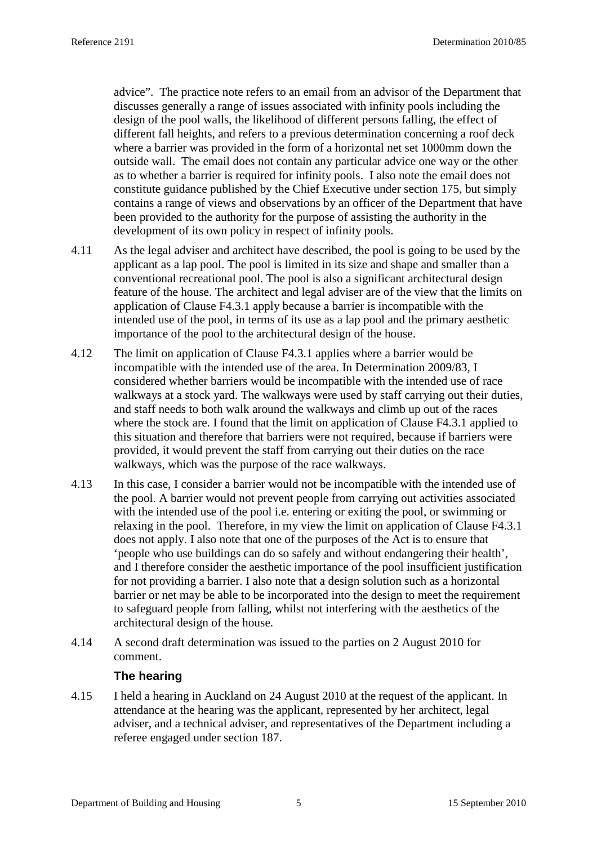advice". The practice note refers to an email from an advisor of the Department that discusses generally a range of issues associated with infinity pools including the design of the pool walls, the likelihood of different persons falling, the effect of different fall heights, and refers to a previous determination concerning a roof deck where a barrier was provided in the form of a horizontal net set 1000mm down the outside wall. The email does not contain any particular advice one way or the other as to whether a barrier is required for infinity pools. I also note the email does not constitute guidance published by the Chief Executive under section 175, but simply contains a range of views and observations by an officer of the Department that have been provided to the authority for the purpose of assisting the authority in the development of its own policy in respect of infinity pools.

- 4.11 As the legal adviser and architect have described, the pool is going to be used by the applicant as a lap pool. The pool is limited in its size and shape and smaller than a conventional recreational pool. The pool is also a significant architectural design feature of the house. The architect and legal adviser are of the view that the limits on application of Clause F4.3.1 apply because a barrier is incompatible with the intended use of the pool, in terms of its use as a lap pool and the primary aesthetic importance of the pool to the architectural design of the house.
- 4.12 The limit on application of Clause F4.3.1 applies where a barrier would be incompatible with the intended use of the area. In Determination 2009/83, I considered whether barriers would be incompatible with the intended use of race walkways at a stock yard. The walkways were used by staff carrying out their duties, and staff needs to both walk around the walkways and climb up out of the races where the stock are. I found that the limit on application of Clause F4.3.1 applied to this situation and therefore that barriers were not required, because if barriers were provided, it would prevent the staff from carrying out their duties on the race walkways, which was the purpose of the race walkways.
- 4.13 In this case, I consider a barrier would not be incompatible with the intended use of the pool. A barrier would not prevent people from carrying out activities associated with the intended use of the pool i.e. entering or exiting the pool, or swimming or relaxing in the pool. Therefore, in my view the limit on application of Clause F4.3.1 does not apply. I also note that one of the purposes of the Act is to ensure that 'people who use buildings can do so safely and without endangering their health', and I therefore consider the aesthetic importance of the pool insufficient justification for not providing a barrier. I also note that a design solution such as a horizontal barrier or net may be able to be incorporated into the design to meet the requirement to safeguard people from falling, whilst not interfering with the aesthetics of the architectural design of the house.
- 4.14 A second draft determination was issued to the parties on 2 August 2010 for comment.

#### **The hearing**

4.15 I held a hearing in Auckland on 24 August 2010 at the request of the applicant. In attendance at the hearing was the applicant, represented by her architect, legal adviser, and a technical adviser, and representatives of the Department including a referee engaged under section 187.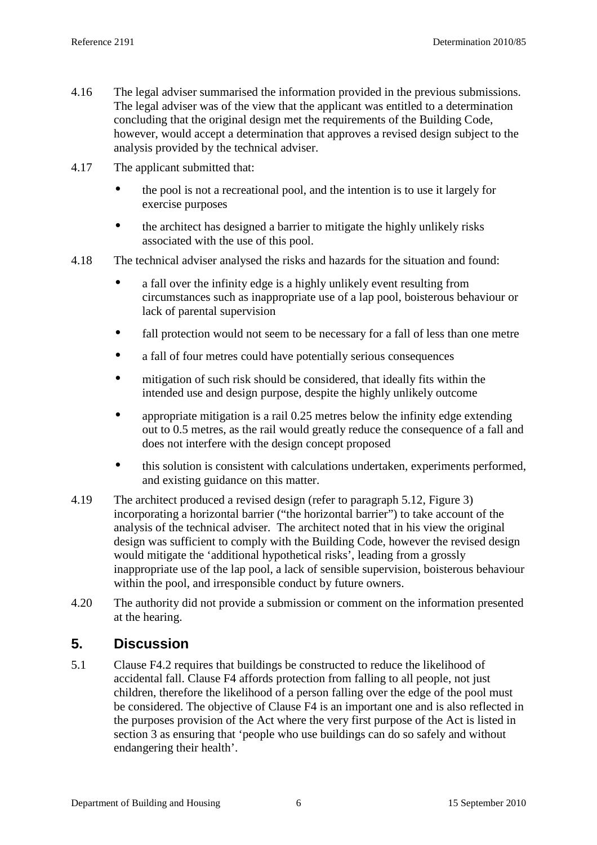- 4.16 The legal adviser summarised the information provided in the previous submissions. The legal adviser was of the view that the applicant was entitled to a determination concluding that the original design met the requirements of the Building Code, however, would accept a determination that approves a revised design subject to the analysis provided by the technical adviser.
- 4.17 The applicant submitted that:
	- the pool is not a recreational pool, and the intention is to use it largely for exercise purposes
	- the architect has designed a barrier to mitigate the highly unlikely risks associated with the use of this pool.
- 4.18 The technical adviser analysed the risks and hazards for the situation and found:
	- a fall over the infinity edge is a highly unlikely event resulting from circumstances such as inappropriate use of a lap pool, boisterous behaviour or lack of parental supervision
	- fall protection would not seem to be necessary for a fall of less than one metre
	- a fall of four metres could have potentially serious consequences
	- mitigation of such risk should be considered, that ideally fits within the intended use and design purpose, despite the highly unlikely outcome
	- appropriate mitigation is a rail 0.25 metres below the infinity edge extending out to 0.5 metres, as the rail would greatly reduce the consequence of a fall and does not interfere with the design concept proposed
	- this solution is consistent with calculations undertaken, experiments performed, and existing guidance on this matter.
- 4.19 The architect produced a revised design (refer to paragraph 5.12, Figure 3) incorporating a horizontal barrier ("the horizontal barrier") to take account of the analysis of the technical adviser. The architect noted that in his view the original design was sufficient to comply with the Building Code, however the revised design would mitigate the 'additional hypothetical risks', leading from a grossly inappropriate use of the lap pool, a lack of sensible supervision, boisterous behaviour within the pool, and irresponsible conduct by future owners.
- 4.20 The authority did not provide a submission or comment on the information presented at the hearing.

## **5. Discussion**

5.1 Clause F4.2 requires that buildings be constructed to reduce the likelihood of accidental fall. Clause F4 affords protection from falling to all people, not just children, therefore the likelihood of a person falling over the edge of the pool must be considered. The objective of Clause F4 is an important one and is also reflected in the purposes provision of the Act where the very first purpose of the Act is listed in section 3 as ensuring that 'people who use buildings can do so safely and without endangering their health'.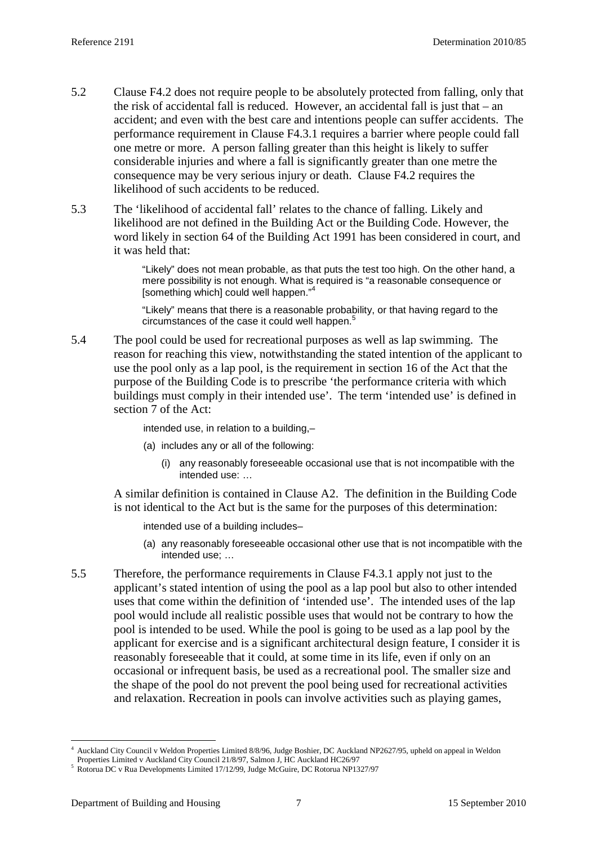- 5.2 Clause F4.2 does not require people to be absolutely protected from falling, only that the risk of accidental fall is reduced. However, an accidental fall is just that – an accident; and even with the best care and intentions people can suffer accidents. The performance requirement in Clause F4.3.1 requires a barrier where people could fall one metre or more. A person falling greater than this height is likely to suffer considerable injuries and where a fall is significantly greater than one metre the consequence may be very serious injury or death. Clause F4.2 requires the likelihood of such accidents to be reduced.
- 5.3 The 'likelihood of accidental fall' relates to the chance of falling. Likely and likelihood are not defined in the Building Act or the Building Code. However, the word likely in section 64 of the Building Act 1991 has been considered in court, and it was held that:

"Likely" does not mean probable, as that puts the test too high. On the other hand, a mere possibility is not enough. What is required is "a reasonable consequence or [something which] could well happen."<sup>4</sup>

"Likely" means that there is a reasonable probability, or that having regard to the circumstances of the case it could well happen.<sup>5</sup>

5.4 The pool could be used for recreational purposes as well as lap swimming. The reason for reaching this view, notwithstanding the stated intention of the applicant to use the pool only as a lap pool, is the requirement in section 16 of the Act that the purpose of the Building Code is to prescribe 'the performance criteria with which buildings must comply in their intended use'. The term 'intended use' is defined in section 7 of the Act:

intended use, in relation to a building,–

- (a) includes any or all of the following:
	- (i) any reasonably foreseeable occasional use that is not incompatible with the intended use: …

A similar definition is contained in Clause A2. The definition in the Building Code is not identical to the Act but is the same for the purposes of this determination:

intended use of a building includes–

- (a) any reasonably foreseeable occasional other use that is not incompatible with the intended use; …
- 5.5 Therefore, the performance requirements in Clause F4.3.1 apply not just to the applicant's stated intention of using the pool as a lap pool but also to other intended uses that come within the definition of 'intended use'. The intended uses of the lap pool would include all realistic possible uses that would not be contrary to how the pool is intended to be used. While the pool is going to be used as a lap pool by the applicant for exercise and is a significant architectural design feature, I consider it is reasonably foreseeable that it could, at some time in its life, even if only on an occasional or infrequent basis, be used as a recreational pool. The smaller size and the shape of the pool do not prevent the pool being used for recreational activities and relaxation. Recreation in pools can involve activities such as playing games,

 $\overline{a}$ 4 Auckland City Council v Weldon Properties Limited 8/8/96, Judge Boshier, DC Auckland NP2627/95, upheld on appeal in Weldon Properties Limited v Auckland City Council 21/8/97, Salmon J, HC Auckland HC26/97

<sup>5</sup> Rotorua DC v Rua Developments Limited 17/12/99, Judge McGuire, DC Rotorua NP1327/97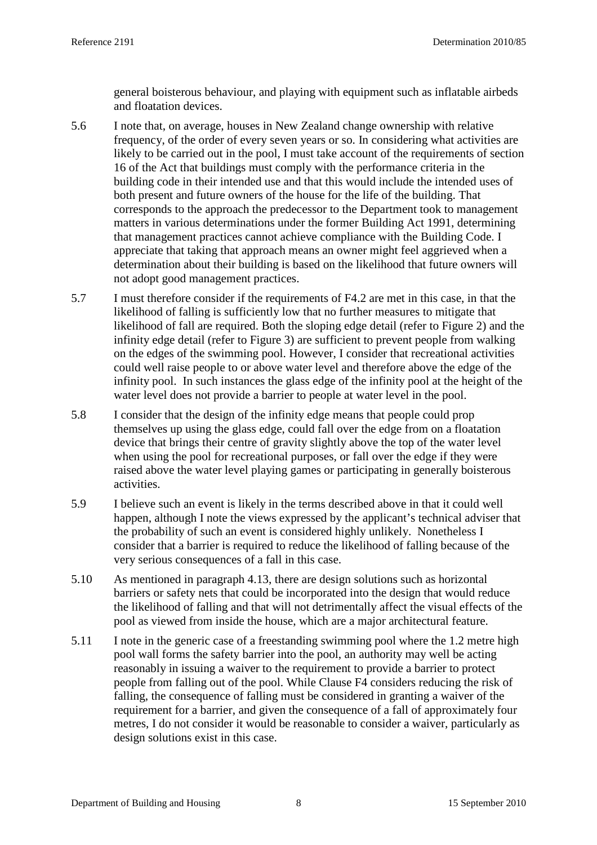general boisterous behaviour, and playing with equipment such as inflatable airbeds and floatation devices.

- 5.6 I note that, on average, houses in New Zealand change ownership with relative frequency, of the order of every seven years or so. In considering what activities are likely to be carried out in the pool, I must take account of the requirements of section 16 of the Act that buildings must comply with the performance criteria in the building code in their intended use and that this would include the intended uses of both present and future owners of the house for the life of the building. That corresponds to the approach the predecessor to the Department took to management matters in various determinations under the former Building Act 1991, determining that management practices cannot achieve compliance with the Building Code. I appreciate that taking that approach means an owner might feel aggrieved when a determination about their building is based on the likelihood that future owners will not adopt good management practices.
- 5.7 I must therefore consider if the requirements of F4.2 are met in this case, in that the likelihood of falling is sufficiently low that no further measures to mitigate that likelihood of fall are required. Both the sloping edge detail (refer to Figure 2) and the infinity edge detail (refer to Figure 3) are sufficient to prevent people from walking on the edges of the swimming pool. However, I consider that recreational activities could well raise people to or above water level and therefore above the edge of the infinity pool. In such instances the glass edge of the infinity pool at the height of the water level does not provide a barrier to people at water level in the pool.
- 5.8 I consider that the design of the infinity edge means that people could prop themselves up using the glass edge, could fall over the edge from on a floatation device that brings their centre of gravity slightly above the top of the water level when using the pool for recreational purposes, or fall over the edge if they were raised above the water level playing games or participating in generally boisterous activities.
- 5.9 I believe such an event is likely in the terms described above in that it could well happen, although I note the views expressed by the applicant's technical adviser that the probability of such an event is considered highly unlikely. Nonetheless I consider that a barrier is required to reduce the likelihood of falling because of the very serious consequences of a fall in this case.
- 5.10 As mentioned in paragraph 4.13, there are design solutions such as horizontal barriers or safety nets that could be incorporated into the design that would reduce the likelihood of falling and that will not detrimentally affect the visual effects of the pool as viewed from inside the house, which are a major architectural feature.
- 5.11 I note in the generic case of a freestanding swimming pool where the 1.2 metre high pool wall forms the safety barrier into the pool, an authority may well be acting reasonably in issuing a waiver to the requirement to provide a barrier to protect people from falling out of the pool. While Clause F4 considers reducing the risk of falling, the consequence of falling must be considered in granting a waiver of the requirement for a barrier, and given the consequence of a fall of approximately four metres, I do not consider it would be reasonable to consider a waiver, particularly as design solutions exist in this case.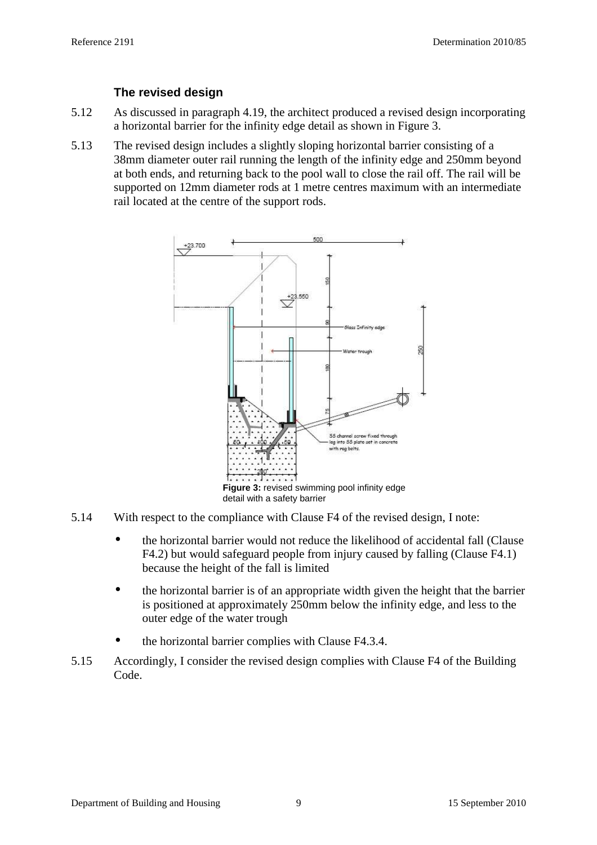### **The revised design**

- 5.12 As discussed in paragraph 4.19, the architect produced a revised design incorporating a horizontal barrier for the infinity edge detail as shown in Figure 3.
- 5.13 The revised design includes a slightly sloping horizontal barrier consisting of a 38mm diameter outer rail running the length of the infinity edge and 250mm beyond at both ends, and returning back to the pool wall to close the rail off. The rail will be supported on 12mm diameter rods at 1 metre centres maximum with an intermediate rail located at the centre of the support rods.



- 5.14 With respect to the compliance with Clause F4 of the revised design, I note:
	- the horizontal barrier would not reduce the likelihood of accidental fall (Clause F4.2) but would safeguard people from injury caused by falling (Clause F4.1) because the height of the fall is limited
	- the horizontal barrier is of an appropriate width given the height that the barrier is positioned at approximately 250mm below the infinity edge, and less to the outer edge of the water trough
	- the horizontal barrier complies with Clause F4.3.4.
- 5.15 Accordingly, I consider the revised design complies with Clause F4 of the Building Code.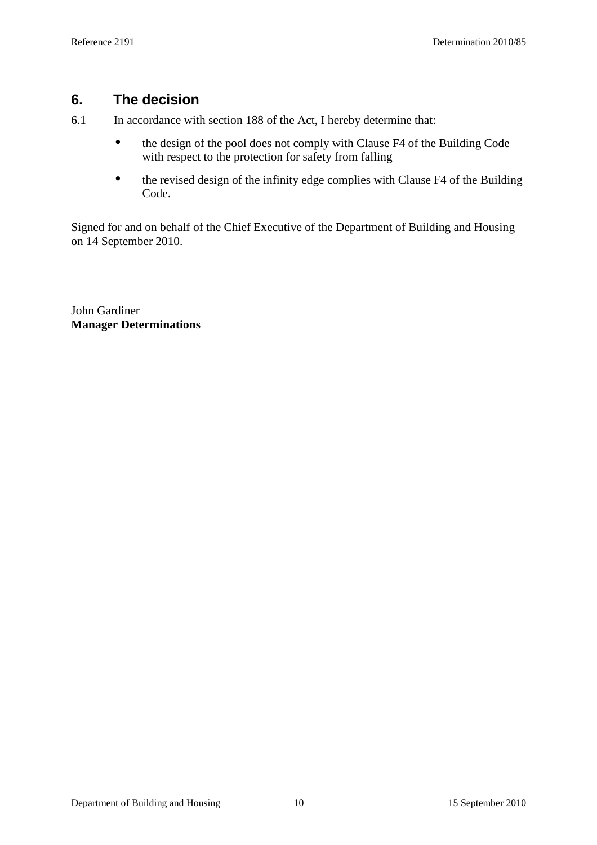## **6. The decision**

6.1 In accordance with section 188 of the Act, I hereby determine that:

- the design of the pool does not comply with Clause F4 of the Building Code with respect to the protection for safety from falling
- the revised design of the infinity edge complies with Clause F4 of the Building Code.

Signed for and on behalf of the Chief Executive of the Department of Building and Housing on 14 September 2010.

John Gardiner **Manager Determinations**